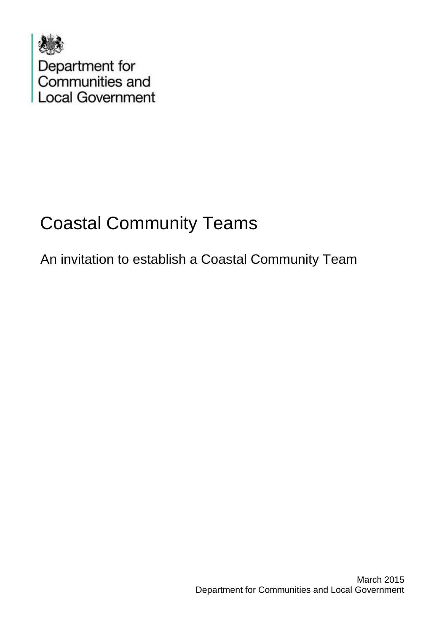

# Coastal Community Teams

An invitation to establish a Coastal Community Team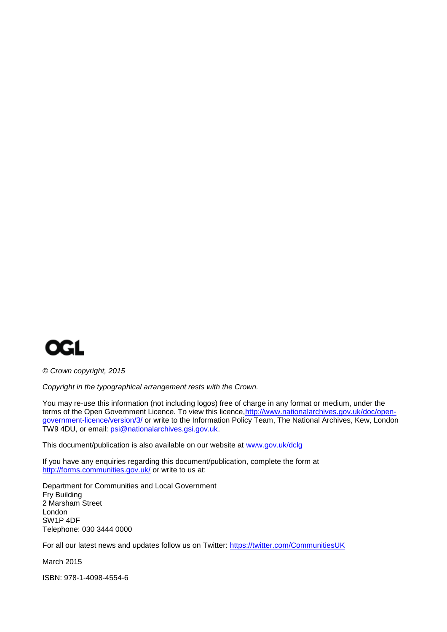

*© Crown copyright, 2015*

*Copyright in the typographical arrangement rests with the Crown.*

You may re-use this information (not including logos) free of charge in any format or medium, under the terms of the Open Government Licence. To view this licence, http://www.nationalarchives.gov.uk/doc/open[government-licence/version/3/](http://www.nationalarchives.gov.uk/doc/open-government-licence/version/3/) or write to the Information Policy Team, The National Archives, Kew, London TW9 4DU, or email: [psi@nationalarchives.gsi.gov.uk.](mailto:psi@nationalarchives.gsi.gov.uk)

This document/publication is also available on our website at [www.gov.uk/dclg](http://www.gov.uk/dclg)

If you have any enquiries regarding this document/publication, complete the form at <http://forms.communities.gov.uk/> or write to us at:

Department for Communities and Local Government Fry Building 2 Marsham Street London SW1P 4DF Telephone: 030 3444 0000

For all our latest news and updates follow us on Twitter:<https://twitter.com/CommunitiesUK>

March 2015

ISBN: 978-1-4098-4554-6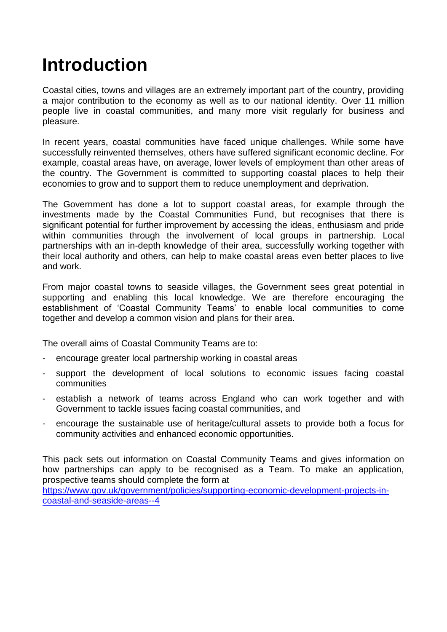## **Introduction**

Coastal cities, towns and villages are an extremely important part of the country, providing a major contribution to the economy as well as to our national identity. Over 11 million people live in coastal communities, and many more visit regularly for business and pleasure.

In recent years, coastal communities have faced unique challenges. While some have successfully reinvented themselves, others have suffered significant economic decline. For example, coastal areas have, on average, lower levels of employment than other areas of the country. The Government is committed to supporting coastal places to help their economies to grow and to support them to reduce unemployment and deprivation.

The Government has done a lot to support coastal areas, for example through the investments made by the Coastal Communities Fund, but recognises that there is significant potential for further improvement by accessing the ideas, enthusiasm and pride within communities through the involvement of local groups in partnership. Local partnerships with an in-depth knowledge of their area, successfully working together with their local authority and others, can help to make coastal areas even better places to live and work.

From major coastal towns to seaside villages, the Government sees great potential in supporting and enabling this local knowledge. We are therefore encouraging the establishment of 'Coastal Community Teams' to enable local communities to come together and develop a common vision and plans for their area.

The overall aims of Coastal Community Teams are to:

- encourage greater local partnership working in coastal areas
- support the development of local solutions to economic issues facing coastal communities
- establish a network of teams across England who can work together and with Government to tackle issues facing coastal communities, and
- encourage the sustainable use of heritage/cultural assets to provide both a focus for community activities and enhanced economic opportunities.

This pack sets out information on Coastal Community Teams and gives information on how partnerships can apply to be recognised as a Team. To make an application, prospective teams should complete the form at

[https://www.gov.uk/government/policies/supporting-economic-development-projects-in](https://www.gov.uk/government/policies/supporting-economic-development-projects-in-coastal-and-seaside-areas--4)[coastal-and-seaside-areas--4](https://www.gov.uk/government/policies/supporting-economic-development-projects-in-coastal-and-seaside-areas--4)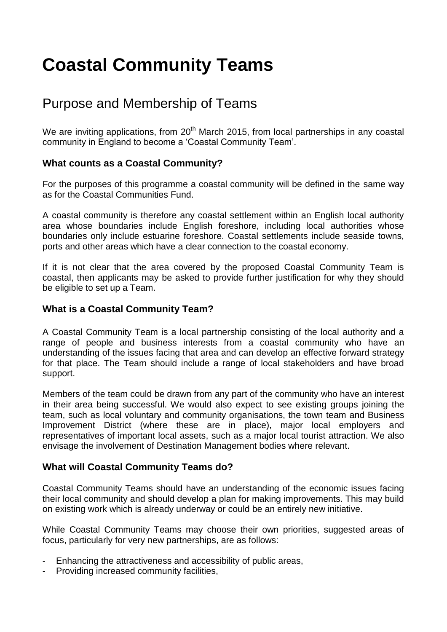## **Coastal Community Teams**

### Purpose and Membership of Teams

We are inviting applications, from  $20<sup>th</sup>$  March 2015, from local partnerships in any coastal community in England to become a 'Coastal Community Team'.

### **What counts as a Coastal Community?**

For the purposes of this programme a coastal community will be defined in the same way as for the Coastal Communities Fund.

A coastal community is therefore any coastal settlement within an English local authority area whose boundaries include English foreshore, including local authorities whose boundaries only include estuarine foreshore. Coastal settlements include seaside towns, ports and other areas which have a clear connection to the coastal economy.

If it is not clear that the area covered by the proposed Coastal Community Team is coastal, then applicants may be asked to provide further justification for why they should be eligible to set up a Team.

### **What is a Coastal Community Team?**

A Coastal Community Team is a local partnership consisting of the local authority and a range of people and business interests from a coastal community who have an understanding of the issues facing that area and can develop an effective forward strategy for that place. The Team should include a range of local stakeholders and have broad support.

Members of the team could be drawn from any part of the community who have an interest in their area being successful. We would also expect to see existing groups joining the team, such as local voluntary and community organisations, the town team and Business Improvement District (where these are in place), major local employers and representatives of important local assets, such as a major local tourist attraction. We also envisage the involvement of Destination Management bodies where relevant.

### **What will Coastal Community Teams do?**

Coastal Community Teams should have an understanding of the economic issues facing their local community and should develop a plan for making improvements. This may build on existing work which is already underway or could be an entirely new initiative.

While Coastal Community Teams may choose their own priorities, suggested areas of focus, particularly for very new partnerships, are as follows:

- Enhancing the attractiveness and accessibility of public areas,
- Providing increased community facilities,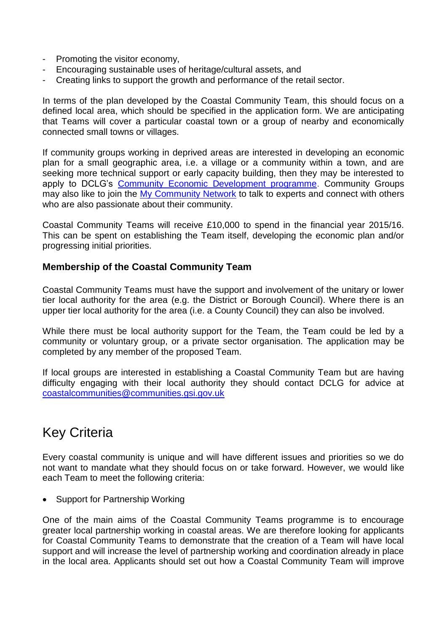- Promoting the visitor economy,
- Encouraging sustainable uses of heritage/cultural assets, and
- Creating links to support the growth and performance of the retail sector.

In terms of the plan developed by the Coastal Community Team, this should focus on a defined local area, which should be specified in the application form. We are anticipating that Teams will cover a particular coastal town or a group of nearby and economically connected small towns or villages.

If community groups working in deprived areas are interested in developing an economic plan for a small geographic area, i.e. a village or a community within a town, and are seeking more technical support or early capacity building, then they may be interested to apply to DCLG's [Community Economic Development programme.](http://mycommunity.org.uk/programme/community-economic-development/) Community Groups may also like to join the [My Community Network](http://www.justact.org.uk/forums/welcome-to-the-my-community-network/) to talk to experts and connect with others who are also passionate about their community.

Coastal Community Teams will receive £10,000 to spend in the financial year 2015/16. This can be spent on establishing the Team itself, developing the economic plan and/or progressing initial priorities.

### **Membership of the Coastal Community Team**

Coastal Community Teams must have the support and involvement of the unitary or lower tier local authority for the area (e.g. the District or Borough Council). Where there is an upper tier local authority for the area (i.e. a County Council) they can also be involved.

While there must be local authority support for the Team, the Team could be led by a community or voluntary group, or a private sector organisation. The application may be completed by any member of the proposed Team.

If local groups are interested in establishing a Coastal Community Team but are having difficulty engaging with their local authority they should contact DCLG for advice at [coastalcommunities@communities.gsi.gov.uk](mailto:coastalcommunities@communities.gsi.gov.uk)

### Key Criteria

Every coastal community is unique and will have different issues and priorities so we do not want to mandate what they should focus on or take forward. However, we would like each Team to meet the following criteria:

• Support for Partnership Working

One of the main aims of the Coastal Community Teams programme is to encourage greater local partnership working in coastal areas. We are therefore looking for applicants for Coastal Community Teams to demonstrate that the creation of a Team will have local support and will increase the level of partnership working and coordination already in place in the local area. Applicants should set out how a Coastal Community Team will improve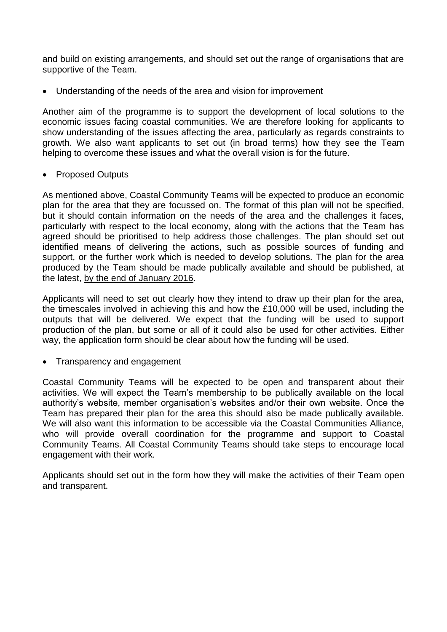and build on existing arrangements, and should set out the range of organisations that are supportive of the Team.

Understanding of the needs of the area and vision for improvement

Another aim of the programme is to support the development of local solutions to the economic issues facing coastal communities. We are therefore looking for applicants to show understanding of the issues affecting the area, particularly as regards constraints to growth. We also want applicants to set out (in broad terms) how they see the Team helping to overcome these issues and what the overall vision is for the future.

• Proposed Outputs

As mentioned above, Coastal Community Teams will be expected to produce an economic plan for the area that they are focussed on. The format of this plan will not be specified, but it should contain information on the needs of the area and the challenges it faces, particularly with respect to the local economy, along with the actions that the Team has agreed should be prioritised to help address those challenges. The plan should set out identified means of delivering the actions, such as possible sources of funding and support, or the further work which is needed to develop solutions. The plan for the area produced by the Team should be made publically available and should be published, at the latest, by the end of January 2016.

Applicants will need to set out clearly how they intend to draw up their plan for the area, the timescales involved in achieving this and how the £10,000 will be used, including the outputs that will be delivered. We expect that the funding will be used to support production of the plan, but some or all of it could also be used for other activities. Either way, the application form should be clear about how the funding will be used.

• Transparency and engagement

Coastal Community Teams will be expected to be open and transparent about their activities. We will expect the Team's membership to be publically available on the local authority's website, member organisation's websites and/or their own website. Once the Team has prepared their plan for the area this should also be made publically available. We will also want this information to be accessible via the Coastal Communities Alliance, who will provide overall coordination for the programme and support to Coastal Community Teams. All Coastal Community Teams should take steps to encourage local engagement with their work.

Applicants should set out in the form how they will make the activities of their Team open and transparent.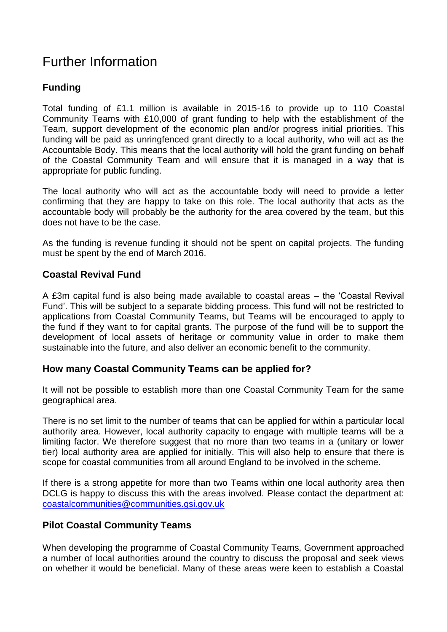### Further Information

### **Funding**

Total funding of £1.1 million is available in 2015-16 to provide up to 110 Coastal Community Teams with £10,000 of grant funding to help with the establishment of the Team, support development of the economic plan and/or progress initial priorities. This funding will be paid as unringfenced grant directly to a local authority, who will act as the Accountable Body. This means that the local authority will hold the grant funding on behalf of the Coastal Community Team and will ensure that it is managed in a way that is appropriate for public funding.

The local authority who will act as the accountable body will need to provide a letter confirming that they are happy to take on this role. The local authority that acts as the accountable body will probably be the authority for the area covered by the team, but this does not have to be the case.

As the funding is revenue funding it should not be spent on capital projects. The funding must be spent by the end of March 2016.

### **Coastal Revival Fund**

A £3m capital fund is also being made available to coastal areas – the 'Coastal Revival Fund'. This will be subject to a separate bidding process. This fund will not be restricted to applications from Coastal Community Teams, but Teams will be encouraged to apply to the fund if they want to for capital grants. The purpose of the fund will be to support the development of local assets of heritage or community value in order to make them sustainable into the future, and also deliver an economic benefit to the community.

### **How many Coastal Community Teams can be applied for?**

It will not be possible to establish more than one Coastal Community Team for the same geographical area.

There is no set limit to the number of teams that can be applied for within a particular local authority area. However, local authority capacity to engage with multiple teams will be a limiting factor. We therefore suggest that no more than two teams in a (unitary or lower tier) local authority area are applied for initially. This will also help to ensure that there is scope for coastal communities from all around England to be involved in the scheme.

If there is a strong appetite for more than two Teams within one local authority area then DCLG is happy to discuss this with the areas involved. Please contact the department at: [coastalcommunities@communities.gsi.gov.uk](mailto:coastalcommunities@communities.gsi.gov.uk)

### **Pilot Coastal Community Teams**

When developing the programme of Coastal Community Teams, Government approached a number of local authorities around the country to discuss the proposal and seek views on whether it would be beneficial. Many of these areas were keen to establish a Coastal